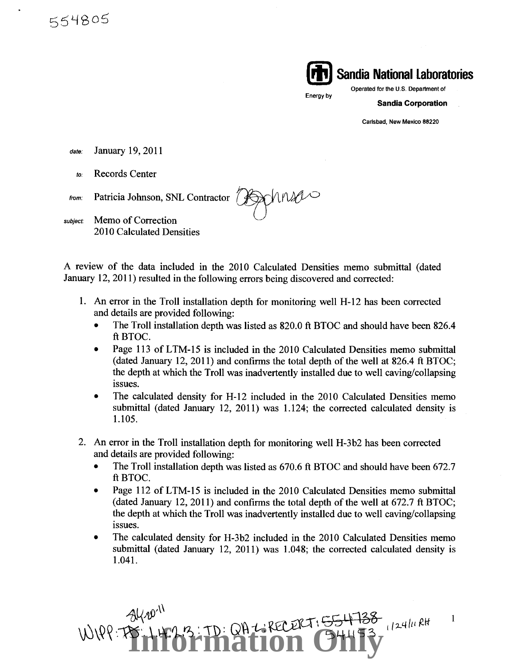554805



Energy by

**Sandia Corporation** 

Carlsbad, New Mexico 88220

- date: January 19, 2011
	- *to:* Records Center

Springes from: Patricia Johnson, SNL Contractor

subject: Memo of Correction 2010 Calculated Densities

A review of the data included in the 2010 Calculated Densities memo submittal (dated January 12, 2011) resulted in the following errors being discovered and corrected:

- 1. An error in the Troll installation depth for monitoring well H-12 has been corrected and details are provided following:
	- The Troll installation depth was listed as 820.0 ft BTOC and should have been 826.4 ftBTOC.
	- Page 113 of LTM-15 is included in the 2010 Calculated Densities memo submittal (dated January 12, 2011) and confirms the total depth of the well at 826.4 ft BTOC; the depth at which the Troll was inadvertently installed due to well caving/collapsing issues.
	- The calculated density for H-12 included in the 2010 Calculated Densities memo submittal (dated January 12, 2011) was 1.124; the corrected calculated density is 1.105.
- 2. An error in the Troll installation depth for monitoring well H-3b2 has been corrected and details are provided following:
	- The Troll installation depth was listed as 670.6 ft BTOC and should have been 672.7 ftBTOC.
	- Page 112 of LTM-15 is included in the 2010 Calculated Densities memo submittal (dated January 12, 2011) and confirms the total depth of the well at 672.7 ft BTOC; the depth at which the Troll was inadvertently installed due to well caving/collapsing issues.
	- The calculated density for H-3b2 included in the 2010 Calculated Densities memo submittal (dated January 12, 2011) was 1.048; the corrected calculated density is 1.041.

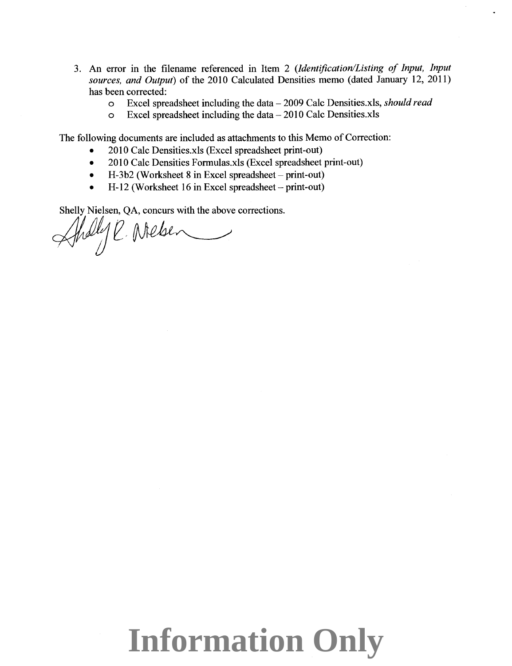- 3. An error in the filename referenced in Item 2 *(Identification/Listing of Input, Input sources, and Output)* of the 2010 Calculated Densities memo (dated January 12, 2011) has been corrected:
	- <sup>o</sup>Excel spreadsheet including the data- 2009 Calc Densities.xls, *should read*
	- $\circ$  Excel spreadsheet including the data  $-2010$  Calc Densities.xls

The following documents are included as attachments to this Memo of Correction:

- 2010 Calc Densities.xls (Excel spreadsheet print-out)
- 2010 Calc Densities Formulas.xls (Excel spreadsheet print-out)
- $H-3b2$  (Worksheet 8 in Excel spreadsheet print-out)
- H-12 (Worksheet 16 in Excel spreadsheet  $-$  print-out)

Shelly Nielsen, QA, concurs with the above corrections.

 $\mathcal{A}$ helyl, Melsen

## **Information Only**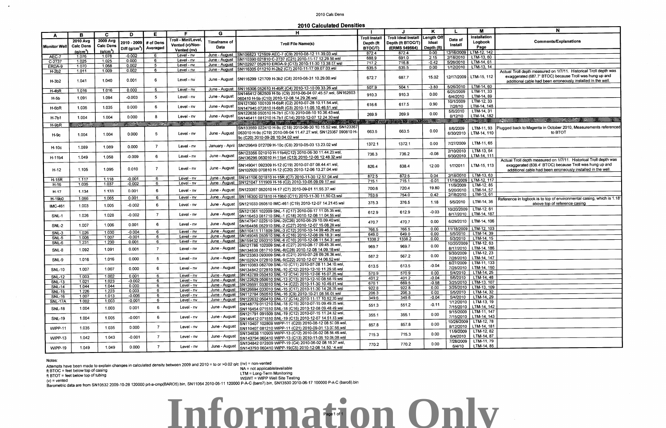**Information Only**

## 2010 Calc Dens

**2010 Calculated Densities** 

|                              | N                                                                                                                       |
|------------------------------|-------------------------------------------------------------------------------------------------------------------------|
| m                            |                                                                                                                         |
| K.                           | <b>Comments/Explanations</b>                                                                                            |
| 42                           |                                                                                                                         |
| 50                           |                                                                                                                         |
| $\overline{\mathbf{5}}$      |                                                                                                                         |
| 14                           | Actual Troll depth measured on 1/7/11. Historical Troll depth was                                                       |
| 12                           | exaggerated (687.7' BTOC) because Troll was hung up and<br>additional cable had been erroneously installed in the well. |
| 50                           |                                                                                                                         |
| 33                           |                                                                                                                         |
| <u>39</u>                    |                                                                                                                         |
| 33                           |                                                                                                                         |
| <u>48</u><br>$\overline{31}$ |                                                                                                                         |
| 82                           |                                                                                                                         |
| 婴儿                           | REFERENCE PRODUCED AND RESERVE TO BE THE                                                                                |
| 93<br>10                     | Plugged back to Magenta in October 2010, Measurements referenced<br>to BTOT                                             |
| 65                           |                                                                                                                         |
| 54                           |                                                                                                                         |
| 11                           | Actual Troll depth measured on 1/7/11. Historical Troll depth was                                                       |
| 113                          | exaggerated (838.4' BTOC) because Troll was hung up and<br>additional cable had been erroneously installed in the well. |
| 63                           |                                                                                                                         |
| 117                          |                                                                                                                         |
| 85                           |                                                                                                                         |
| 57                           |                                                                                                                         |
| $\overline{61}$<br>36        | Reference in logbook is to top of environmental casing, which is 1.18'<br>above top of reference casing                 |
| 61                           |                                                                                                                         |
| 187                          |                                                                                                                         |
| 106<br>103                   |                                                                                                                         |
| 39                           |                                                                                                                         |
| 15                           |                                                                                                                         |
| 63                           |                                                                                                                         |
| 186                          |                                                                                                                         |
| 23                           |                                                                                                                         |
| 147<br>133                   |                                                                                                                         |
| 150                          |                                                                                                                         |
| 25                           |                                                                                                                         |
| 48                           |                                                                                                                         |
| 107<br>$\frac{1}{109}$       |                                                                                                                         |
| 32                           |                                                                                                                         |
| <u>29</u>                    |                                                                                                                         |
| 19                           |                                                                                                                         |
| 142<br>147                   |                                                                                                                         |
| 143                          |                                                                                                                         |
| 78                           |                                                                                                                         |
| <u> 181</u>                  |                                                                                                                         |
| 82<br>87                     |                                                                                                                         |
| 79                           |                                                                                                                         |
| 85                           |                                                                                                                         |

|                     |                      |                      |                                    |                              | F.                  | G                   | н                                                                                                                 |                      |                            | κ               |            | M                                                                                                                     | N                                                                      |
|---------------------|----------------------|----------------------|------------------------------------|------------------------------|---------------------|---------------------|-------------------------------------------------------------------------------------------------------------------|----------------------|----------------------------|-----------------|------------|-----------------------------------------------------------------------------------------------------------------------|------------------------------------------------------------------------|
| A                   | в                    | <b>C</b>             | D                                  | Е                            |                     |                     |                                                                                                                   | <b>Troll Install</b> | <b>Troll Ideal Install</b> | Length Off      |            | Installation                                                                                                          |                                                                        |
|                     | 2010 Avg             | 2009 Avg             | 2010 - 2009                        | # of Dens                    | Troll - Mini/Level. | Timeframe of        |                                                                                                                   |                      | Depth (ft BTOC/T)          | Ideal           | Date of    | Logbook                                                                                                               | <b>Comments/Explanations</b>                                           |
| <b>Monitor Well</b> | <b>Calc Dens</b>     | <b>Calc Dens</b>     |                                    |                              | Vented (v)/Non-     | Data                | <b>Troll File Name(s)</b>                                                                                         | Depth (ft            |                            |                 | Install    | Page                                                                                                                  |                                                                        |
|                     | (a/cm <sup>3</sup> ) | (a/cm <sup>3</sup> ) | Diff (g/cm <sup>3</sup> ) Averaged |                              | Vented (nv)         |                     |                                                                                                                   | BTOC/T)              | (ERMS 549564)              | Depth (ft)      |            | LTM-12, 142                                                                                                           |                                                                        |
| AEC-7               | 1.076                | 1.078                | $-0.002$                           |                              | Level - nv          |                     | June - August SN106823 121609 AEC-7 (C9) 2010-08-12 11.39.03.wsl                                                  | 872.4                | 872.4                      | 0.00            | 12/16/2009 | LTM-13, 60                                                                                                            |                                                                        |
| $C-2737$            | 1.025                | 1.025                | 0.000                              | -6                           | Level - nv          |                     | June - August SN110390 021810 C-2737 (C21) 2010-11-17 12.29.50.wsl                                                | 688.9                | 691.0                      | 2.15            | 2/18/2010  |                                                                                                                       |                                                                        |
| ERDA-9              | 1.070                | 1.068                | 0.002                              | -5                           | Level - nv          |                     | June - August SN102927 052610 ERDA-9 (C13) 2010-11-30 13.38.57.wsl                                                | 717.2                | 716.8                      | $-0.42$         | 5/26/2010  | $LTM-14, 61$                                                                                                          |                                                                        |
| $H-2b2$             | 1.011                | 1.009                | 0.002                              | 6                            | Level - nv          |                     | June - August SN116305 011210 H-2b2 (C7) 2010-11-17 09.07.03.wsl                                                  | 635.5                | 635.5                      | 0.00            | 1/12/2010  | $LTM-13, 14$                                                                                                          | Actual Troll depth measured on 1/7/11. Historical Troll depth was      |
|                     |                      |                      |                                    |                              |                     |                     |                                                                                                                   |                      |                            |                 |            |                                                                                                                       | exaggerated (687.7' BTOC) because Troll was hung up and                |
|                     | 1.041                | 1.040                | 0.001                              | -6                           | Level - nv          |                     | June - August   SN116299 121709 H-3b2 (C8) 2010-08-31 10.29.00.wsl                                                | 672.7                | 687.7                      | 15.02           |            | 12/17/2009   LTM-15, 112                                                                                              | additional cable had been erroneously installed in the well.           |
| $H-3b2$             |                      |                      |                                    |                              |                     |                     |                                                                                                                   |                      |                            |                 |            |                                                                                                                       |                                                                        |
|                     | 1.016                | 1.016                | 0.000                              | -5                           | Level - nv          |                     | June - August SN116306 052610 H-4bR (C4) 2010-12-10 09.33.26.wsl                                                  | 507.9                | 504.1                      | $-3.80$         | 5/26/2010  | LTM-14, 60                                                                                                            |                                                                        |
| H-4bR               |                      |                      |                                    |                              |                     |                     | SN146412 062509 H-5b (C9) 2010-06-04 07.45.57 wsl, SN162603                                                       | 910.3                | 910.3                      | 0.00            | 6/25/2009  | LTM-11, 33                                                                                                            |                                                                        |
| $H-5b$              | 1.091                | 1.094                | $-0.003$                           | -5                           | Level - nv          | June - August       | 060410 H-5b (C10) 2010-12-08 14.29.26.wsl                                                                         |                      |                            |                 | 6/4/2010   | LTM-14, 89                                                                                                            |                                                                        |
|                     |                      |                      |                                    |                              |                     |                     | SN121360 100109 H-6bR (C2) 2010-07-28 10.11.54.wsl,                                                               | 616.6                | 617.5                      | 0.90            | 10/1/2009  | $LTM-12, 33$                                                                                                          |                                                                        |
| H-6bR               | 1.035                | 1.035                | 0.000                              | -6                           | Level - nv          | June - August       | SN147945 072810 H-6bR (C3) 2010-11-05 10.46.51 wsl                                                                |                      |                            |                 | 7/28/10    | LTM-14, 148                                                                                                           |                                                                        |
|                     |                      |                      |                                    |                              |                     |                     | SN122638 050510 H-7b1 (C13) 2010-08-10 10.36.43.wsl,                                                              | 269.9                | 269.9                      | 0.00            | 5/5/2010   | LTM-14, 31<br>LTM-14, 182                                                                                             |                                                                        |
| H-7b1               | 1.004                | 1.004                | 0.000                              | -8                           | Level - nv          | June - August       | SN146411 081210 H-7b1 (C14) 2010-12-07 12.24.30 wsl                                                               |                      |                            |                 | 8/12/10    | <b>All and Constitution of the Constitution of the Constitution of the Constitution of the Constitution of the Co</b> |                                                                        |
| $H-9bR$             |                      | $-184$               | $\mathcal{L} = \mathcal{L}$        | <b>A Secretary Adventure</b> | <b>Participants</b> | <b>CONSTRUCTION</b> | Chapter of the Unable to calculate ? well drilled in October 2010 and water levels not available for calculation. |                      |                            |                 |            |                                                                                                                       |                                                                        |
|                     |                      |                      |                                    |                              |                     |                     | SN133569 022410 H-9c (C18) 2010-06-30 10.15.52 wsl, SN123367                                                      |                      |                            |                 | 8/6/2009   | LTM-11, 93                                                                                                            | Plugged back to Magenta in October 2010, Measurements referenced       |
| $H-9c$              | 1.004                | 1.004                | 0.000                              | 5                            | Level - nv          | June - August       | 063010 H-9c (C19) 2010-08-04 11.47.27.wsl, SN123367 090810 H-                                                     | 663.5                | 663.5                      | 0.00            | 6/30/2010  | LTM-14, 110                                                                                                           | to BTOT                                                                |
|                     |                      |                      |                                    |                              |                     |                     | 9c (C20) 2010-09-26 10.04.02.wsl                                                                                  |                      |                            |                 |            |                                                                                                                       |                                                                        |
|                     |                      |                      |                                    |                              |                     |                     |                                                                                                                   | 1372.1               | 1372.1                     | 0.00            | 7/27/2009  | LTM-11, 65                                                                                                            |                                                                        |
| $H-10c$             | 1.089                | 1.089                | 0.000                              | $\overline{7}$               | Level - nv          | January - April     | SN129649 072709 H-10c (C8) 2010-05-03 13.23.02.wsl                                                                |                      |                            |                 |            |                                                                                                                       |                                                                        |
|                     |                      |                      |                                    |                              |                     |                     | SN123356 021010 H-11b4(C12) 2010-06-30 11.44.23.wsl,                                                              | 736.3                | 736.2                      | $-0.08$         | 2/10/2010  | $LTM-13, 54$                                                                                                          |                                                                        |
| H-11b4              | 1.049                | 1.058                | $-0.009$                           | 6                            | Level - nv          | June - August       | SN136296 063010 H-11b4 (C13) 2010-12-06 12.48.32.wsl                                                              |                      |                            |                 | 6/30/2010  | LTM-14, 111                                                                                                           |                                                                        |
|                     |                      |                      |                                    |                              |                     |                     |                                                                                                                   |                      |                            |                 |            |                                                                                                                       | Actual Troll depth measured on 1/7/11. Historical Troll depth was      |
|                     |                      | 1.095                | 0.010                              | - 7                          | Level - nv          | June - August       | SN149041 092309 H-12 (C19) 2010-07-07 08.44.41.wsl                                                                | 826.4                | 838.4                      | 12.00           | 1/7/2011   | LTM-15, 113                                                                                                           | exaggerated (838.4' BTOC) because Troll was hung up and                |
| $H-12$              | 1.105                |                      |                                    |                              |                     |                     | SN102920 070810 H-12 (C20) 2010-12-06 13.27.04.wsl                                                                |                      |                            |                 |            |                                                                                                                       | additional cable had been erroneously installed in the well.           |
|                     |                      | 1.118                | $-0.001$                           | 6                            | Level - nv          |                     | June - August SN141106 021810 H-15R (C7) 2010-11-30 12.57 04 wsl                                                  | 872.5                | 872.5                      | 0.04            | 2/18/2010  | $LTM-13.63$                                                                                                           |                                                                        |
| <b>H-15R</b>        | 1.117                | 1.037                | $-0.002$                           | 6                            | Level - nv          |                     | June - August SN121047 111909 H-16 (C2) 2010-10-05 09.09.17 wsl                                                   | 715.1                | 715.1                      | $-0.01$         | 11/19/2009 | LTM-12, 117                                                                                                           |                                                                        |
| H-16                | 1.035                |                      |                                    |                              |                     |                     |                                                                                                                   | 700.6                | 720.4                      | 19.80           | 11/9/2009  | LTM-12, 85                                                                                                            |                                                                        |
| $H-17$              | 1.134                | 1.133                | 0.001                              | 6                            | Level - nv          | June - August       | SN123357 052010 H-17 (C7) 2010-09-01 11.55.37.wsl                                                                 |                      |                            |                 | 5/20/2010  | LTM-14, 57                                                                                                            |                                                                        |
|                     | 1.066                | 1.065                | 0.001                              | -6                           | Level - nv          |                     | June - August SN116300 021810 H-19b0 (C11) 2010-11-30 11.50.03.wsl                                                | 753.6                | 754.0                      | 0.42            | 2/18/2010  | $LTM-13, 61$                                                                                                          | Reference in logbook is to top of environmental casing, which is 1.18' |
| H-19b0              |                      |                      |                                    |                              |                     |                     | SN121033 050510 IMC-461 (C19) 2010-12-07 14.21.45.wsl                                                             | 3753                 | 376.5                      | 1.18            | 5/5/2010   | LTM-14, 36                                                                                                            |                                                                        |
| <b>IMC-461</b>      | 1.003                | 1.005                | $-0.002$                           | 6                            | Level - nv          | June - August       |                                                                                                                   |                      |                            |                 |            |                                                                                                                       | above top of reference casing                                          |
|                     |                      |                      |                                    |                              |                     |                     | SN121361 102009 SNL-1 (C17) 2010-08-17 11.05.35.wsl,                                                              | 612.9                | 612.9                      | $-0.03$         | 10/20/2009 | $LTM-12, 61$                                                                                                          |                                                                        |
| <b>SNL-1</b>        | 1.026                | 1.028                | $-0.002$                           | $\overline{7}$               | Level - nv          | June - August       | SN116453 081710 SNL-1 (C18) 2010-12-08 11.04.55.wsl                                                               |                      |                            |                 | 8/17/2010  | LTM-14, 187                                                                                                           |                                                                        |
|                     |                      |                      |                                    |                              |                     |                     | SN147947 022510 SNL-2(C26) 2010-06-29 10.09.40.wsl,                                                               | 470.7                | 470.7                      | 0.00            | 6/29/2010  | LTM-14, 106                                                                                                           |                                                                        |
| <b>SNL-2</b>        | 1.007                | 1.006                | 0.001                              | 6.                           | Level - nv          | June - August       | SN164456 062910 SNL-2 (C27) 2010-12-07 15.08.20.wsl                                                               |                      |                            |                 |            |                                                                                                                       |                                                                        |
| SNL-3               | 1.026                | 1.030                | $-0.004$                           | <b>A</b>                     | Level - nv          | June - August       | SN110411 111809 SNL-3 (C12) 2010-10-14 09.46.29.wsl                                                               | 766.5                | 766.5                      | 0.00            |            | 11/18/2009 LTM-12, 103<br>$LTM-14, 39$                                                                                |                                                                        |
| SNL-5               | 1.006                | 1.007                | $-0.001$                           | -6                           | Level - nv          |                     | June - August SN149045 050510 SNL-5 (C16) 2010-12-08 09.18.31.wsl                                                 | 649.0                | 649.0                      | 0.00            | 5/5/2010   | LTM-14, 15                                                                                                            |                                                                        |
| SNL-6               | 1.231                | 1.230                | 0.001                              | 6                            | Level - nv          |                     | June - August SN159432 050310 SNL-6 (C10) 2010-12-08 11.54.31 wsl                                                 | 1338.2               | 1338.2                     | 0.00            | 5/3/2010   | $LTM-12, 63$                                                                                                          |                                                                        |
|                     |                      |                      |                                    |                              |                     |                     | SN121786 102009 SNL-8 (C27) 2010-08-17 09.45.35.wsl,                                                              | 969.7                | 969.7                      | 0.00            | 10/20/2009 | LTM-14, 186                                                                                                           |                                                                        |
| SNL-8               | 1.092                | 1.091                | 0.001                              | $\overline{7}$               | Level - nv          | June - August       | SN134838 081710 SNL-8(C28) 2010-12-08 14.09.18.wsl                                                                |                      |                            |                 | 8/17/2010  | $LTM-12, 23$                                                                                                          |                                                                        |
|                     |                      |                      |                                    |                              |                     |                     | SN123363 093009 SNL-9 (C21) 2010-07-28 09.26.36.wsl,                                                              | 567.2                | 567.2                      | 0.00            | 9/30/2009  | LTM-14, 147                                                                                                           |                                                                        |
| SNL-9               | 1.016                | 1.016                | 0.000                              | 5.                           | Level - nv          | June - August       | SN102924 072810 SNL-9(C22) 2010-12-07 14.06.52.wsl                                                                |                      |                            |                 | 7/28/2010  | $LTM-11, 133$                                                                                                         |                                                                        |
|                     |                      |                      |                                    |                              |                     |                     | SN110383 082709 SNL-10 (C11) 2010-07-28 11.34.10.wsl                                                              | 613.5                | 613.5                      | $-0.04$         | 8/27/2009  | 7/28/2010   LTM-14, 150                                                                                               |                                                                        |
| <b>SNL-10</b>       | 1.007                | 1.007                | 0.000                              | 6                            | Level - nv          | June - August       | SN134842 072810 SNL-10 (C12) 2010-12-10 11.29.58.wsl                                                              |                      |                            |                 |            | 5/4/2010   LTM-14, 25                                                                                                 |                                                                        |
| $SNL-12$            | 1.003                | 1.002                | 0.001                              | 6                            | Level - nv          |                     | June - August SN143789 050410 SNL-12 (C14) 2010-12-06 15.07.25.wsl                                                | 570.9                | 570.9                      | 0.00            |            | LTM-14, 48                                                                                                            |                                                                        |
| <b>SNL-13</b>       | 1.021                | $-1.023$             | $-0.002$                           | 6.                           | Level - nv          |                     | June - August SN122629 050610 SNL-13 (C13) 2010-12-10 08.58.19 wsl                                                | 401.2                | 401.2                      | $-0.04$         | 5/6/2010   | 3/25/2010   LTM-13, 107                                                                                               |                                                                        |
| <b>SNL-14</b>       | 1.044                | 1.044                | 0.000                              | -6                           | Level - nv          |                     | June - August SN126691 033010 SNL-14 (C22) 2010-11-30 10.49.01 wsl                                                | 670.1                | 669.5                      | $-0.58$<br>0.00 |            | 3/25/2010   LTM-13, 109                                                                                               |                                                                        |
| <b>SNL-15</b>       | 1.226                | 1.223                | 0.003                              | 6.                           | Level - nv          |                     | June - August SN126694 033010 SNL-15 (C17) 2010-11-30 14.28.25.wsl                                                | 922.8                | 922.8                      | 0.00            | 5/5/2010   | $LTM-14.32$                                                                                                           |                                                                        |
| <b>SNL-16</b>       | 1.007                | 1.013                | $-0.006$                           | 6                            | Level - nv          |                     | June - August SN112784 050510 SNL-16 (C9) 2010-10-21 08.56.01 wsl                                                 | 206.3                | 206.3                      | $-0.04$         | 5/4/2010   | LTM-14, 29                                                                                                            |                                                                        |
| <b>SNL-17A</b>      | 1.002                | 1.003                | $-0.001$                           | 6.                           | Level - nv          |                     | June - August SN122632 050410 SNL-17 (C14) 2010-11-17 10.52.20 wsl                                                | 349.6                | 349.6                      |                 | 1/12/2010  | $LTM-13, 19$                                                                                                          |                                                                        |
|                     |                      |                      |                                    |                              | Level - nv          | June - August       | SN148779 011210 SNL-18 (C15) 2010-07-15 09.49.25.wsl,                                                             | 551.3                | 551.2                      | $-0.11$         | 7/15/2010  | LTM-14, 142                                                                                                           |                                                                        |
| <b>SNL-18</b>       | 1.004                | 1.003                | 0.001                              | 6                            |                     |                     | SN116454 071510 SNL-18 (C16) 2010-12-08 09.48.49.wsl                                                              |                      |                            |                 | 9/15/2009  | LTM-11, 147                                                                                                           |                                                                        |
|                     |                      |                      |                                    |                              | Level - nv          | June - August       | SN121791 091509 SNL-19 (C12) 2010-07-15 11.24.32.wsl,                                                             | 355.1                | 355.1                      | 0.00            | 7/15/2010  | LTM-14, 143                                                                                                           |                                                                        |
| <b>SNL-19</b>       | 1.004                | 1.005                | $-0.001$                           | 6                            |                     |                     | SN146412 071510 SNL-19 (C13) 2010-12-07 14.51.33.wsl                                                              |                      |                            |                 | 10/28/2009 | LTM-12, 78                                                                                                            |                                                                        |
|                     |                      |                      |                                    | <b>7</b>                     | Level - nv          | June - August       | SN110407 102809 WIPP-11 (C20) 2010-08-12 08.57.08.wsl,                                                            | 857.8                | 857.8                      | 0.00            | 8/12/2010  | LTM-14, 181                                                                                                           |                                                                        |
| <b>WIPP-11</b>      | 1.035                | 1.035                | 0.000                              |                              |                     |                     | SN110407 081210 WIPP-11 (C21) 2010-09-01 13.07.56 wsl                                                             |                      |                            |                 | 11/9/2009  | $LTM-12, 82$                                                                                                          |                                                                        |
|                     |                      |                      |                                    | $\overline{7}$               | Level - nv          | June - August       | SN134838 110909 WIPP-13 (C12) 2010-06-02 08.56.46 wsl,                                                            | 715.3                | 715.3                      | 0.00            | 6/4/2010   | LTM-14, 87                                                                                                            |                                                                        |
| WIPP-13             | 1.042                | 1.043                | $-0.001$                           |                              |                     |                     | SN143794 060410 WIPP-13 (C13) 2010-11-05 10.06.08.wsl                                                             |                      |                            |                 | 7/28/2009  | LTM-11, 79                                                                                                            |                                                                        |
|                     |                      |                      | 0.000                              |                              | Level - nv          | June - August       | SN134842 072809 WIPP-19 (C4) 2010-06-02 08.16.07.wsl,                                                             | 770.2                | 770.2                      | 0.00            | 6/4/10     | LTM-14, 85                                                                                                            |                                                                        |
| WIPP-19             | 1.049                | 1.049                |                                    |                              |                     |                     | SN143793 060410 WIPP-19(C5) 2010-12-08 14.50.14 wsl                                                               |                      |                            |                 |            |                                                                                                                       |                                                                        |

Notes:

 $\bullet$ 

Attempts have been made to explain changes in calculated density between 2009 and 2010 = to or >0.02 g/c (nv) = non-vented

https://www.https://www.https://www.https://www.https://www.https://www.https://www.https://www.https://www.https://www.https://www.https://www.https://www.https://www.https://www.https://www.https://www.https://www.https:

ft BTOC = feet below top of casing<br>ft BTOT = feet below top of tubing L TM = Long-Term Monitoring<br>(i) = uphot C TM = Long-Term Monitoring<br>(i) = uphot

(v) =vented WSWT = WIPP Well Site Testing Barometric data are from SN10532 2009-10-28 120000 prt-a-cmp(BAR05).bin, SN11064 2010-05-11 120000 P-A-C (baro7).bin, SN13500 2010-06-17 100000 P-A-C (baro8).bin

Page 1 of 1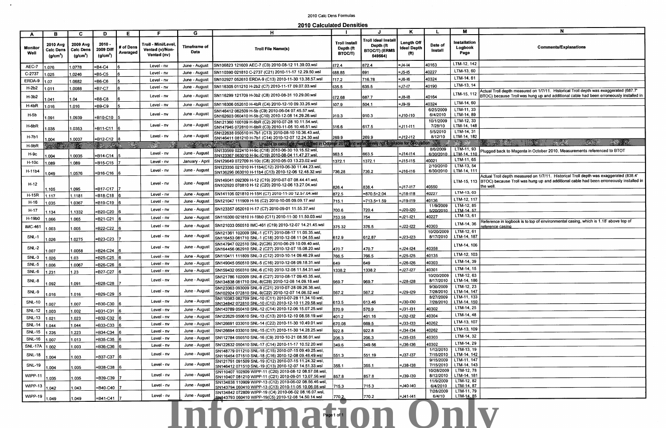## 2010 Calc Dens Formulas

2010 Calculated Densities

|                      |                                                           |                                                            |                                                    |                             |                                                            |                                  |                                                                                                                                                                         |                                              | J                                                                   | κ                                                            | $\mathbf{L}$                       | M                                      |                        |
|----------------------|-----------------------------------------------------------|------------------------------------------------------------|----------------------------------------------------|-----------------------------|------------------------------------------------------------|----------------------------------|-------------------------------------------------------------------------------------------------------------------------------------------------------------------------|----------------------------------------------|---------------------------------------------------------------------|--------------------------------------------------------------|------------------------------------|----------------------------------------|------------------------|
| A<br>Monitor<br>Well | в<br>2010 Avg<br><b>Calc Dens</b><br>(q/cm <sup>3</sup> ) | C.<br>2009 Avg<br><b>Calc Dens</b><br>(g/cm <sup>3</sup> ) | D<br>$2010 -$<br>2009 Diff<br>(g/cm <sup>3</sup> ) | E.<br># of Dens<br>Averaged | F<br>Troll - Mini/Level.<br>Vented (v)/Non-<br>Vented (nv) | G<br>Timeframe of<br><b>Data</b> | н<br><b>Troll File Name(s)</b>                                                                                                                                          | <b>Troll Install</b><br>Depth (ft<br>BTOC/T) | Troll Ideal Install<br>Depth (ft<br><b>BTOC/T) (ERMS</b><br>549564) | <b>Length Off</b><br><b>Ideal Depth</b><br>(f <sup>t</sup> ) | Date of<br>Install                 | Installation<br>Logbook<br>Page        |                        |
| AEC-7                | 1.076                                                     | 1.0778                                                     | =B4-C4                                             | l6                          | Level - nv                                                 | June - August                    | SN106823 121609 AEC-7 (C9) 2010-08-12 11.39.03.wsl                                                                                                                      | 872.4                                        | 872.4                                                               | =J4-I4                                                       | 40163                              | LTM-12, 142                            |                        |
| C-2737               | 1.025                                                     | 1.0246                                                     | =B5-C5                                             |                             | Level - nv                                                 | June - August                    | SN110390 021810 C-2737 (C21) 2010-11-17 12.29.50.wsl                                                                                                                    | 688.85                                       | 691                                                                 | $=$ J5-15                                                    | 40227                              | LTM-13, 60                             |                        |
| ERDA-9               | 1.07                                                      | 1.0682                                                     | =B6-C6                                             | 5                           | Level - nv                                                 | June - August                    | SN102927 052610 ERDA-9 (C13) 2010-11-30 13.38.57.wsl                                                                                                                    | 717.2                                        | 716.78                                                              | =J6-16                                                       | 40324                              | LTM-14, 61                             |                        |
| $H-2b2$              | 1.011                                                     | 1.0088                                                     | $=B7-C7$                                           |                             | Level - nv                                                 | June - August                    | SN116305 011210 H-2b2 (C7) 2010-11-17 09.07.03.wsl                                                                                                                      | 635.5                                        | 635.5                                                               | $=17-17$                                                     | 40190                              | LTM-13, 14                             |                        |
| $H-3b2$              | 1.041                                                     | 1.04                                                       | =B8-C8                                             |                             | Level - nv                                                 | June - August                    | SN116299 121709 H-3b2 (C8) 2010-08-31 10.29.00.wsl                                                                                                                      | 672.68                                       | 687.7                                                               | =J8-18                                                       | 40164                              | LTM-15, 112                            | Actual Tro<br>BTOC) be |
| $H-4bR$              | 1.016                                                     | 016. ا                                                     | =B9-C9                                             |                             | Level - nv                                                 | June - August                    | SN116306 052610 H-4bR (C4) 2010-12-10 09.33.26.wsl                                                                                                                      | 507.9                                        | 504.1                                                               | =J9-19                                                       | 40324                              | LTM-14, 60                             |                        |
| H-5b                 | 1.091                                                     | 1.0939                                                     | =B10-C10                                           |                             | Level - nv                                                 | June - August                    | SN146412 062509 H-5b (C9) 2010-06-04 07.45.57.wsl,<br>SN162603 060410 H-5b (C10) 2010-12-08 14.29.26.wsl                                                                | 910.3                                        | 910.3                                                               | $=$ J10-I10                                                  | 6/25/2009<br>6/4/2010<br>10/1/2009 | LTM-11, 33<br>LTM-14, 89<br>LTM-12, 33 |                        |
| H-6bR                | 1.035                                                     | 1.0353                                                     | EB11-C11 16                                        |                             | Level - nv                                                 | June - August                    | SN121360 100109 H-6bR (C2) 2010-07-28 10.11.54.wsl,<br>SN147945 072810 H-6bR (C3) 2010-11-05 10.46.51.wsl<br>SN122638 050510 H-7b1 (C13) 2010-08-10 10.36.43.wsl,       | 616.6                                        | 617.5                                                               | =J11-l11                                                     | 7/28/10<br>5/5/2010                | LTM-14, 148<br>LTM-14, 31              |                        |
| $H-7b1$              | 1.004                                                     | 1.0037                                                     | $=$ B12-C12 8                                      |                             | Level - nv                                                 | June - August                    | SN146411 081210 H-7b1 (C14) 2010-12-07 12.24.30.wsl                                                                                                                     | 269.9                                        | 269.9                                                               | $=$ J12-I12                                                  | 8/12/10                            | LTM-14, 182                            |                        |
| $H-9bR$              | WARREN AND THE                                            |                                                            | <b>The County of County</b>                        |                             | $\mathcal{R}^{(k)}_{\text{L}}$                             |                                  | Unable to calculate Awell finited in October 2010 and water levels not available for calculation                                                                        |                                              |                                                                     |                                                              |                                    |                                        |                        |
|                      |                                                           |                                                            |                                                    |                             | Level - nv                                                 | June - August                    | SN133569 022410 H-9c (C18) 2010-06-30 10.15.52.wsl,                                                                                                                     |                                              | 663.5                                                               | =J14-I14                                                     | 8/6/2009<br>6/30/2010              | LTM-11, 93<br>LTM-14, 110              | Plugged b              |
| H-9c                 | 1.004                                                     | 1.0035                                                     | $= B14-C14$ 5                                      |                             |                                                            |                                  | SN123367 063010 H-9c (C19) 2010-08-04 11.47.27.wsl.<br>SN129649 072709 H-10c (C8) 2010-05-03 13.23.02.wsl                                                               | 663.5                                        | 1372.1                                                              | =J15-l15                                                     | 40021                              | LTM-11, 65                             |                        |
| <b>H-10c</b>         | 1.089                                                     | 1.089                                                      | =B15-C15                                           |                             | Level - nv                                                 | January - April                  | SN123356 021010 H-11b4(C12) 2010-06-30 11.44.23.wsl,                                                                                                                    | 1372.1                                       |                                                                     |                                                              | 2/10/2010                          | LTM-13, 54                             |                        |
| H-11b4               | .049                                                      | 1.0576                                                     | $= B16-C16$ 6                                      |                             | Level - nv                                                 | June - August                    | SN136296 063010 H-11b4 (C13) 2010-12-06 12.48.32.wsl                                                                                                                    | 736.28                                       | 736.2                                                               | l=J16-I16                                                    | 6/30/2010                          | LTM-14, 111                            | Actual Tro             |
| $H-12$               | 1.105                                                     | 1.095                                                      | =B17-C17  7                                        |                             | Level - nv                                                 | June - August                    | SN149041 092309 H-12 (C19) 2010-07-07 08.44.41.wsl,<br>SN102920 070810 H-12 (C20) 2010-12-06 13.27.04.wsl                                                               | 826.4                                        | 838.4                                                               | =J17-I17                                                     | 40550                              | LTM-15, 113 BTOC) be                   | the well.              |
| $H-15R$              | 1.117                                                     | 1.1181                                                     | =B18-C18                                           |                             | Level - nv                                                 | June - August                    | SN141106 021810 H-15R (C7) 2010-11-30 12.57.04.wsl                                                                                                                      | 872.5                                        | $=870.5+2.04$                                                       | =J18-l18                                                     | 40227                              | LTM-13, 63                             |                        |
| $H-16$               | 1.035                                                     | 1.0367                                                     | =B19-C19                                           |                             | Level - nv                                                 | June - August                    | ISN121047 111909 H-16 (C2) 2010-10-05 09.09.17.wsl                                                                                                                      | 715.1                                        | =713.5+1.59                                                         | =J19-I19                                                     | 40136                              | LTM-12, 117                            |                        |
| $H-17$               |                                                           |                                                            |                                                    |                             | Level - nv                                                 | June - August                    | SN123357 052010 H-17 (C7) 2010-09-01 11.55.37.wsl                                                                                                                       | 700.6                                        | 720.4                                                               | =J20-I20                                                     | 11/9/2009<br>5/20/2010             | $LTM-12, 85$<br>LTM-14, 57             |                        |
|                      | 1.134                                                     | 1.1332                                                     | $=$ B20-C20                                        |                             | Level - nv                                                 | June - August                    | SN116300 021810 H-19b0 (C11) 2010-11-30 11.50.03.wsl                                                                                                                    | 753.58                                       | 754                                                                 | =J21-I21                                                     | 40227                              | LTM-13, 61                             |                        |
| H-19b0               | 1.066                                                     | 1.065                                                      | =B21-C21                                           |                             |                                                            |                                  | SN121033 050510 IMC-461 (C19) 2010-12-07 14.21.45.wsl                                                                                                                   |                                              |                                                                     |                                                              |                                    | LTM-14, 36                             | Referenc               |
| <b>IMC-461</b>       | .003                                                      | 1.005                                                      | =B22-C22                                           |                             | Level - nv                                                 | June - August                    |                                                                                                                                                                         | 375.32                                       | 376.5                                                               | $=$ J22-I22                                                  | 40303<br>10/20/2009                | LTM-12, 61                             | <u>reference</u>       |
| <b>SNL-1</b>         | 1.026                                                     | 1.0275                                                     | =B23-C23                                           |                             | Level - nv                                                 | June - August                    | SN121361 102009 SNL-1 (C17) 2010-08-17 11.05.35.wsl,<br>SN116453 081710 SNL-1 (C18) 2010-12-08 11.04.55.wsl<br>SN147947 022510 SNL-2(C26) 2010-06-29 10.09.40.wsl,      | 612.9                                        | 612.87                                                              | =J23-I23                                                     | 8/17/2010                          | LTM-14, 187                            |                        |
| <b>SNL-2</b>         | 1.007                                                     | 1.0058                                                     | $= B24-C24$                                        |                             | Level - nv                                                 | June - August                    | SN164456 062910 SNL-2 (C27) 2010-12-07 15.08.20.wsl                                                                                                                     | 470.7                                        | 470.7                                                               | =J24-I24                                                     | 40358                              | LTM-14, 106<br>LTM-12, 103             |                        |
| SNL-3                | 1.026                                                     | 1.03                                                       | =B25-C25                                           |                             | Level - nv                                                 | June - August                    | SN110411 111809 SNL-3 (C12) 2010-10-14 09.46.29.wsl                                                                                                                     | 766.5                                        | 766.5                                                               | =J25-I25                                                     | 40135                              | LTM-14, 39                             |                        |
| SNL-5                | 1.006                                                     | 1.0067                                                     | $= B26-C26$                                        |                             | Level - nv                                                 | June - August                    | SN149045 050510 SNL-5 (C16) 2010-12-08 09.18.31.wsl                                                                                                                     | 649                                          | 649                                                                 | =J26-I26                                                     | 40303                              | LTM-14, 15                             |                        |
| SNL-6                | 1.231                                                     | 1.23                                                       | $-B27-C27$ 6                                       |                             | Level - nv                                                 | June - August                    | SN159432 050310 SNL-6 (C10) 2010-12-08 11.54.31.wsl<br>SN121786 102009 SNL-8 (C27) 2010-08-17 09.45.35.wsl,                                                             | 1338.2                                       | 1338.2                                                              | =J27-127                                                     | 40301<br>10/20/2009                | LTM-12, 63                             |                        |
| SNL-8                | 1.092                                                     | 1.091                                                      | =B28-C28                                           |                             | Level - nv                                                 | June - August                    | SN134838 081710 SNL-8(C28) 2010-12-08 14.09.18.wsl<br>SN123363 093009 SNL-9 (C21) 2010-07-28 09.26.36.wsl,                                                              | 969.7                                        | 969.7                                                               | =J28-I28                                                     | 8/17/2010<br>9/30/2009             | LTM-14, 186<br>LTM-12, 23              |                        |
| SNL-9                | 1.016                                                     | 1.016                                                      | =B29-C29                                           |                             | Level - nv                                                 | June - August                    | SN102924 072810 SNL-9(C22) 2010-12-07 14.06.52.wsl<br>SN110383 082709 SNL-10 (C11) 2010-07-28 11.34.10.wsl,                                                             | 567.2                                        | 567.2                                                               | =J29-I29                                                     | 7/28/2010<br>8/27/2009             | LTM-14, 147<br>LTM-11, 133             |                        |
| <b>SNL-10</b>        | 1.007                                                     | 1.007                                                      | $=$ B30-C30                                        |                             | Level - nv                                                 | June - August                    | SN134842 072810 SNL-10 (C12) 2010-12-10 11.29.58.wsl                                                                                                                    | 613.5                                        | 613.46                                                              | =J30-I30                                                     | 7/28/2010                          | LTM-14, 150                            |                        |
| <b>SNL-12</b>        | 1.003                                                     | 1.002                                                      | =B31-C31                                           | 16                          | Level - nv                                                 | June - August                    | SN143789 050410 SNL-12 (C14) 2010-12-06 15.07.25.wsl                                                                                                                    | 570.9                                        | 570.9                                                               | $=$ J31-I31                                                  | 40302                              | LTM-14, 25                             |                        |
| <b>SNL-13</b>        | 1.021                                                     | 1.023                                                      | =B32-C32                                           |                             | Level - nv                                                 | June - August                    | SN122629 050610 SNL-13 (C13) 2010-12-10 08.58.19.wsl                                                                                                                    | 401.2                                        | 401.16                                                              | $=$ J32-I32                                                  | 40304                              | LTM-14, 48                             |                        |
| <b>SNL-14</b>        | 1.044                                                     | 1.044                                                      | =B33-C33                                           |                             | Level - nv                                                 | June - August                    | SN126691 033010 SNL-14 (C22) 2010-11-30 10.49.01.wsl                                                                                                                    | 670.08                                       | 669.5                                                               | $=$ J33-I33                                                  | 40262                              | LTM-13, 107                            |                        |
| <b>SNL-15</b>        | 1.226                                                     | 1.223                                                      | =B34-C34                                           |                             | Level - nv                                                 | June - August                    | SN126694 033010 SNL-15 (C17) 2010-11-30 14.28.25.wsl                                                                                                                    | 922.8                                        | 922.8                                                               | =J34-I34                                                     | 40262                              | LTM-13, 109                            |                        |
| <b>SNL-16</b>        | 1.007                                                     | 1.013                                                      | =B35-C35                                           |                             | Level - nv                                                 | June - August                    | SN112784 050510 SNL-16 (C9) 2010-10-21 08.56.01.wsl                                                                                                                     | 206.3                                        | 206.3                                                               | =J35-I35                                                     | 40303                              | LTM-14, 32                             |                        |
| <b>SNL-17A</b>       | 1.002                                                     | 1.003                                                      | =B36-C36                                           |                             | Level - nv                                                 | June - August                    | SN122632 050410 SNL-17 (C14) 2010-11-17 10.52.20.wsl                                                                                                                    | 349.6                                        | 349.56                                                              | $=$ J36-I36                                                  | 40302<br>1/12/2010                 | LTM-14, 29<br>LTM-13, 19               |                        |
| <b>SNL-18</b>        | 1.004                                                     | 1.003                                                      | =B37-C37  6                                        |                             | Level - nv                                                 | June - August                    | SN148779 011210 SNL-18 (C15) 2010-07-15 09.49.25.wsl,<br>SN116454 071510 SNL-18 (C16) 2010-12-08 09.48.49.wsl                                                           | 5513                                         | 551.19                                                              | =J37-I37                                                     | 7/15/2010<br>9/15/2009             | LTM-14, 142<br>LTM-11, 147             |                        |
| <b>SNL-19</b>        | 1.004                                                     | 1.005                                                      | $=$ B38-C38                                        |                             | Level - nv                                                 | June - August                    | SN121791 091509 SNL-19 (C12) 2010-07-15 11.24.32.wsl,<br>SN146412 071510 SNL-19 (C13) 2010-12-07 14.51.33.wsl<br>SN110407 102809 WIPP-11 (C20) 2010-08-12 08.57.08.wsl, | 355.1                                        | 355.1                                                               | =J38-I38                                                     | 7/15/2010<br>10/28/2009            | LTM-14, 143<br>LTM-12, 78              |                        |
| <b>WIPP-11</b>       | 1.035                                                     | 1.035                                                      | =B39-C39                                           |                             | Level - nv                                                 | June - August                    | SN110407 081210 WIPP-11 (C21) 2010-09-01 13.07.56.wsl<br>SN134838 110909 WIPP-13 (C12) 2010-06-02 08.56.46.wsl,                                                         | 857.8                                        | 857.8                                                               | =J39-I39                                                     | 8/12/2010<br>11/9/2009             | LTM-14, 181<br>LTM-12, 82              |                        |
| WIPP-13              | 1.042                                                     | 1.043                                                      | =B40-C40                                           |                             | Level - nv                                                 | June - August                    | SN143794 060410 WIPP-13 (C13) 2010-11-05 10.06.08.wsl                                                                                                                   | 715.3                                        | 715.3                                                               | =J40-140                                                     | 6/4/2010<br>7/28/2009              | LTM-14, 87<br>LTM-11, 79               |                        |
| WIPP-19              | 1.049                                                     | 1.049                                                      | =B41-C41                                           |                             | Level - nv                                                 | June - August                    | SN134842 072809 WIPP-19 (C4) 2010-06-02 08.16.07.wsl,<br>SN143793 060410 WIPP-19(C5) 2010-12-08 14.50.14.wsl                                                            | 770,2                                        | 770.2                                                               | =J41-I41                                                     | 6/4/10                             | LTM-14, 85                             |                        |
|                      |                                                           |                                                            |                                                    |                             |                                                            |                                  | Informated On Or                                                                                                                                                        |                                              |                                                                     |                                                              |                                    |                                        |                        |

 $\mathcal{L}^{\text{max}}$ 

|              |  | N                            |                                                                                  |                                                                                                                                                                            |
|--------------|--|------------------------------|----------------------------------------------------------------------------------|----------------------------------------------------------------------------------------------------------------------------------------------------------------------------|
|              |  | <b>Comments/Explanations</b> |                                                                                  |                                                                                                                                                                            |
|              |  |                              |                                                                                  |                                                                                                                                                                            |
|              |  |                              |                                                                                  |                                                                                                                                                                            |
|              |  |                              |                                                                                  |                                                                                                                                                                            |
|              |  |                              |                                                                                  | ual Troll depth measured on 1/7/11. Historical Troll depth was exaggerated (687.7'<br>OC) because Troll was hung up and additional cable had been erroneously installed in |
|              |  |                              |                                                                                  |                                                                                                                                                                            |
|              |  |                              |                                                                                  |                                                                                                                                                                            |
|              |  |                              |                                                                                  |                                                                                                                                                                            |
|              |  |                              | gged back to Magenta in October 2010, Measurements referenced to BTOT            |                                                                                                                                                                            |
|              |  |                              |                                                                                  |                                                                                                                                                                            |
| well.        |  |                              |                                                                                  | ual Troll depth measured on 1/7/11. Historical Troll depth was exaggerated (838.4'<br>OC) because Troll was hung up and additional cable had been erroneously installed in |
|              |  |                              |                                                                                  |                                                                                                                                                                            |
|              |  |                              |                                                                                  |                                                                                                                                                                            |
|              |  |                              |                                                                                  |                                                                                                                                                                            |
| rence casing |  |                              | erence in logbook is to top of environmental casing, which is 1.18' above top of |                                                                                                                                                                            |
|              |  |                              |                                                                                  |                                                                                                                                                                            |
|              |  |                              |                                                                                  |                                                                                                                                                                            |
|              |  |                              |                                                                                  |                                                                                                                                                                            |
|              |  |                              |                                                                                  |                                                                                                                                                                            |
|              |  |                              |                                                                                  |                                                                                                                                                                            |
|              |  |                              |                                                                                  |                                                                                                                                                                            |
|              |  |                              |                                                                                  |                                                                                                                                                                            |
|              |  |                              |                                                                                  |                                                                                                                                                                            |
|              |  |                              |                                                                                  |                                                                                                                                                                            |
|              |  |                              |                                                                                  |                                                                                                                                                                            |
|              |  |                              |                                                                                  |                                                                                                                                                                            |
|              |  |                              |                                                                                  |                                                                                                                                                                            |
|              |  |                              |                                                                                  |                                                                                                                                                                            |
|              |  |                              |                                                                                  |                                                                                                                                                                            |
|              |  |                              |                                                                                  |                                                                                                                                                                            |
|              |  |                              |                                                                                  |                                                                                                                                                                            |
|              |  |                              |                                                                                  |                                                                                                                                                                            |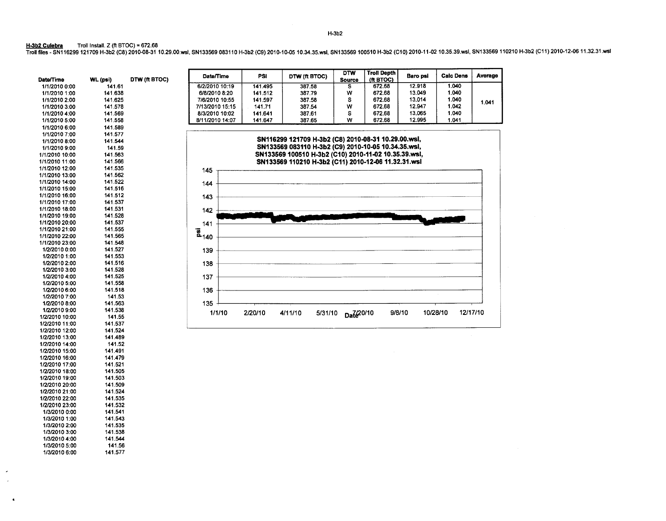H-3b2 Culebra Troll Install. Z (ft BTOC) = 672.68 Troll files- SN116299 121709 H-3b2 (C8) 2010-08-31 10.29.00.wsl, SN133569 083110 H-3b2 (C9) 2010-10-05 10.34.35.wsl, SN133569 100510 H-3b2 (C10) 2010-11-02 10.35.39.wsl, SN133569 110210 H-3b2 (C11) 2010-12-06 11.32.31.wsl

> WL(psi) 141.61 141.638 141.625 141.578 141.569 141.558 141.589 141.577 141.544 141.59 141.563 141.566 141.535 141.562

Date/Time 1/1/2010 0:00 111/2010 1:00 1/1/2010 2:00 1/1/2010 3:00 1/1/2010 4:00 1/1/2010 5:00 1/1/2010 6:00 1/1/2010 7:00 1/1/2010 8:00 1/1/2010 9:00 1/1/2010 10:00 1/1/2010 11:00 1/1/2010 12:00 1/1/2010 13:00 DTW (ft BTOC) Date/Time PSI DTW (ft BTOC) DTW Troll Depth Baro psi Calc Dens Average Source (ft BTOC) 6/2/2010 10:19 141.495 387.58 S 672.68 12.918 1.040 6/8/2010 8:20 141.512 387.79 w 672.68 13.049 1.040 7/6/2010 10:55 | 141.597 | 387.58 | S | 672.68 | 13.014 | 1.040 | <sub>1.041</sub> 7/13/2010 15:15 141.71 387.54 w 672.68 12.947 1.042 8/3/2010 10:02 | 141.641 | 387.61 | S | 672.68 | 13.065 | 1.040 8/11/2010 14:07 | 141.647 | 387.65 | W | 672.68 | 12.995 | 1.041 SN116299 121709 H-3b2 (C8) 2010-08-31 10.29.00.wsl, SN133569 083110 H-3b2 (C9) 2010-10-05 10.34.35.wsl, SN133569 100510 H-3b2 (C10) 2010-11-02 10.35.39.wsl, SN133569 110210 H-3b2 (C11) 2010-12-06 11.32.31.wsl 145 r-------------------------------------------------------· 144 +-------------------------------------------------------~ 143~--------------------------------------------------~ 142 <sup>142</sup>141 + ~~~~~~ii~~~~~~~~~~~~~~~~;;--~~==J  $\bar{a}_{140}$ ~140 +-----------------------------------------------------------\_\_, 139 ~------------------------------------------------------~ 138 +-------------------------------------------------------~ 137 +-------------------------------------------------------~ 136 ~------------------------------------------------------~ 135 +-------r-----~------------------------------,---------~ 1/1/10 2/20/10 4/11/10 5/31/10 Dat<sup>2</sup>20/10 9/8/10 10/28/10 12/17/10

1/1/2010 14:00 1/1/2010 15:00 1/1/2010 16:00 1/1/2010 17:00 1/1/2010 18:00 1/1/2010 19:00 1/1/2010 20:00 1/1/2010 21:00 1/1/2010 22:00 1/1/2010 23:00 1/2/2010 0:00 1/2/2010 1:00 1/2/2010 2:00 112/2010 3:00 1/2/2010 4:00 1/2/2010 5:00 1/2/2010 6:00 1/2/2010 7:00 1/2/2010 8:00 112/2010 9:00 1/2/2010 10:00 1/2/2010 11:00 1/2/2010 12:00 1/2/2010 13:00 1/2/2010 14:00 112/2010 15:00 112/2010 16:00 1/2/2010 17:00 112/2010 18:00 1/2/2010 19:00 112/2010 20:00 1/2/2010 21:00 1/2/2010 22:00 1/2/2010 23:00 1/3/2010 0:00 1/3/2010 1:00 141.522 141.516 141.512 141.537 141.531 141.528 141.537 141.555 141.565 141.548 141.527 141.553 141.516 141.528 141.525 141.558 141.518 141.53 141.563 141.538 141.55 141.537 141.524 141.489 141.52 141.491 141.479 141.521 141.505 141.503 141.509 141.524 141.535 141.532 141.541 141.543

> 141.535 141.538 141.544 141.56 141.577

1/3/2010 2:00 1/3/2010 3:00 1/3/2010 4:00 1/3/2010 5:00 1/3/2010 6:00 H-3b2